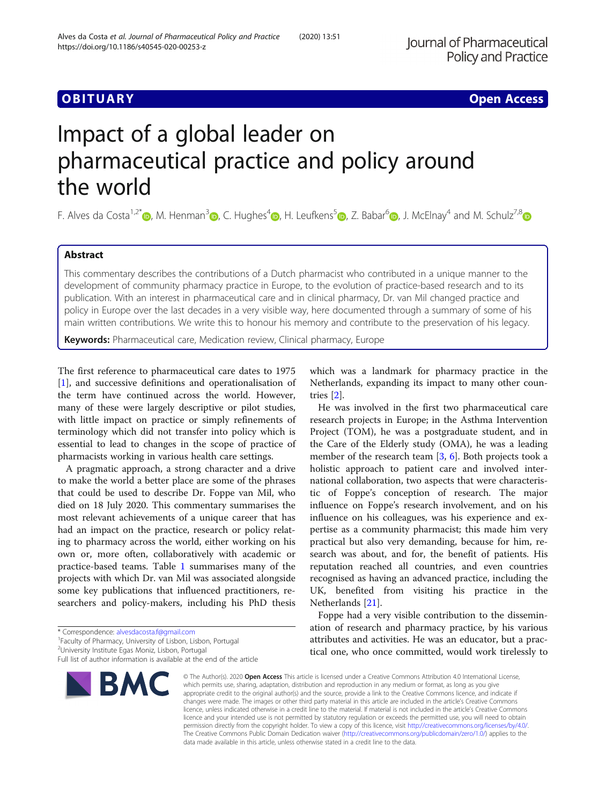# **OBITUARY** CONTROLL CONTROLL CONTROLL CONTROLL CONTROLL CONTROLL CONTROLL CONTROLL CONTROLL CONTROLL CONTROLL CONTROLL CONTROLL CONTROLL CONTROLL CONTROLL CONTROLL CONTROLL CONTROLL CONTROLL CONTROLL CONTROLL CONTROLL CONT

# Impact of a global leader on pharmaceutical practice and policy around the world

F. Alves da Costa<sup>1[,](https://orcid.org/0000-0003-1051-3240)2\*</sup>  $\odot$ , M. Henman<sup>3</sup>  $\odot$ , C. Hughes<sup>4</sup>  $\odot$ , H. Leufkens<sup>5</sup>  $\odot$ , Z. Babar<sup>6</sup>  $\odot$ , J. McElnay<sup>4</sup> and M. Schulz<sup>7,8</sup>  $\odot$ 

# Abstract

This commentary describes the contributions of a Dutch pharmacist who contributed in a unique manner to the development of community pharmacy practice in Europe, to the evolution of practice-based research and to its publication. With an interest in pharmaceutical care and in clinical pharmacy, Dr. van Mil changed practice and policy in Europe over the last decades in a very visible way, here documented through a summary of some of his main written contributions. We write this to honour his memory and contribute to the preservation of his legacy.

Keywords: Pharmaceutical care, Medication review, Clinical pharmacy, Europe

The first reference to pharmaceutical care dates to 1975 [[1\]](#page-3-0), and successive definitions and operationalisation of the term have continued across the world. However, many of these were largely descriptive or pilot studies, with little impact on practice or simply refinements of terminology which did not transfer into policy which is essential to lead to changes in the scope of practice of pharmacists working in various health care settings.

A pragmatic approach, a strong character and a drive to make the world a better place are some of the phrases that could be used to describe Dr. Foppe van Mil, who died on 18 July 2020. This commentary summarises the most relevant achievements of a unique career that has had an impact on the practice, research or policy relating to pharmacy across the world, either working on his own or, more often, collaboratively with academic or practice-based teams. Table [1](#page-1-0) summarises many of the projects with which Dr. van Mil was associated alongside some key publications that influenced practitioners, researchers and policy-makers, including his PhD thesis

\* Correspondence: [alvesdacosta.f@gmail.com](mailto:alvesdacosta.f@gmail.com) <sup>1</sup>

<sup>1</sup> Faculty of Pharmacy, University of Lisbon, Lisbon, Portugal

<sup>2</sup>University Institute Egas Moniz, Lisbon, Portugal

Full list of author information is available at the end of the article



which was a landmark for pharmacy practice in the Netherlands, expanding its impact to many other countries [\[2](#page-3-0)].

He was involved in the first two pharmaceutical care research projects in Europe; in the Asthma Intervention Project (TOM), he was a postgraduate student, and in the Care of the Elderly study (OMA), he was a leading member of the research team [[3,](#page-3-0) [6\]](#page-3-0). Both projects took a holistic approach to patient care and involved international collaboration, two aspects that were characteristic of Foppe's conception of research. The major influence on Foppe's research involvement, and on his influence on his colleagues, was his experience and expertise as a community pharmacist; this made him very practical but also very demanding, because for him, research was about, and for, the benefit of patients. His reputation reached all countries, and even countries recognised as having an advanced practice, including the UK, benefited from visiting his practice in the Netherlands [[21](#page-4-0)].

Foppe had a very visible contribution to the dissemination of research and pharmacy practice, by his various attributes and activities. He was an educator, but a practical one, who once committed, would work tirelessly to

© The Author(s), 2020 **Open Access** This article is licensed under a Creative Commons Attribution 4.0 International License, which permits use, sharing, adaptation, distribution and reproduction in any medium or format, as long as you give appropriate credit to the original author(s) and the source, provide a link to the Creative Commons licence, and indicate if changes were made. The images or other third party material in this article are included in the article's Creative Commons licence, unless indicated otherwise in a credit line to the material. If material is not included in the article's Creative Commons licence and your intended use is not permitted by statutory regulation or exceeds the permitted use, you will need to obtain permission directly from the copyright holder. To view a copy of this licence, visit [http://creativecommons.org/licenses/by/4.0/.](http://creativecommons.org/licenses/by/4.0/) The Creative Commons Public Domain Dedication waiver [\(http://creativecommons.org/publicdomain/zero/1.0/](http://creativecommons.org/publicdomain/zero/1.0/)) applies to the data made available in this article, unless otherwise stated in a credit line to the data.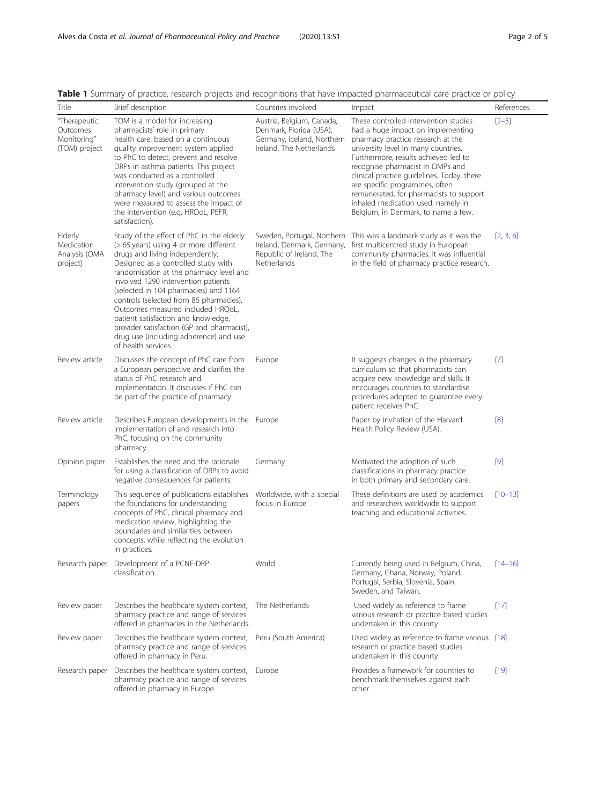| Title                                                    | Brief description                                                                                                                                                                                                                                                                                                                                                                                                                                                                                                              | Countries involved                                                                                             | or proceed, research projects and recognitions enactione impacted priammaceatical care proceed<br>Impact                                                                                                                                                                                                                                                                                                                                   | References  |
|----------------------------------------------------------|--------------------------------------------------------------------------------------------------------------------------------------------------------------------------------------------------------------------------------------------------------------------------------------------------------------------------------------------------------------------------------------------------------------------------------------------------------------------------------------------------------------------------------|----------------------------------------------------------------------------------------------------------------|--------------------------------------------------------------------------------------------------------------------------------------------------------------------------------------------------------------------------------------------------------------------------------------------------------------------------------------------------------------------------------------------------------------------------------------------|-------------|
| "Therapeutic<br>Outcomes<br>Monitoring"<br>(TOM) project | TOM is a model for increasing<br>pharmacists' role in primary<br>health care, based on a continuous<br>quality improvement system applied<br>to PhC to detect, prevent and resolve<br>DRPs in asthma patients. This project<br>was conducted as a controlled<br>intervention study (grouped at the<br>pharmacy level) and various outcomes<br>were measured to assess the impact of<br>the intervention (e.g. HRQoL, PEFR,<br>satisfaction).                                                                                   | Austria, Belgium, Canada,<br>Denmark, Florida (USA),<br>Germany, Iceland, Northern<br>Ireland, The Netherlands | These controlled intervention studies<br>had a huge impact on implementing<br>pharmacy practice research at the<br>university level in many countries.<br>Furthermore, results achieved led to<br>recognise pharmacist in DMPs and<br>clinical practice guidelines. Today, there<br>are specific programmes, often<br>remunerated, for pharmacists to support<br>inhaled medication used, namely in<br>Belgium, in Denmark, to name a few. | $[2 - 5]$   |
| Elderly<br>Medication<br>Analysis (OMA<br>project)       | Study of the effect of PhC in the elderly<br>(> 65 years) using 4 or more different<br>drugs and living independently.<br>Designed as a controlled study with<br>randomisation at the pharmacy level and<br>involved 1290 intervention patients<br>(selected in 104 pharmacies) and 1164<br>controls (selected from 86 pharmacies).<br>Outcomes measured included HRQoL,<br>patient satisfaction and knowledge,<br>provider satisfaction (GP and pharmacist),<br>drug use (including adherence) and use<br>of health services. | Sweden, Portugal, Northern<br>Ireland, Denmark, Germany,<br>Republic of Ireland, The<br>Netherlands            | This was a landmark study as it was the<br>first multicentred study in European<br>community pharmacies. It was influential<br>in the field of pharmacy practice research.                                                                                                                                                                                                                                                                 | [2, 3, 6]   |
| Review article                                           | Discusses the concept of PhC care from<br>a European perspective and clarifies the<br>status of PhC research and<br>implementation. It discusses if PhC can<br>be part of the practice of pharmacy.                                                                                                                                                                                                                                                                                                                            | Europe                                                                                                         | It suggests changes in the pharmacy<br>curriculum so that pharmacists can<br>acquire new knowledge and skills. It<br>encourages countries to standardise<br>procedures adopted to guarantee every<br>patient receives PhC.                                                                                                                                                                                                                 | $[7]$       |
| Review article                                           | Describes European developments in the Europe<br>implementation of and research into<br>PhC, focusing on the community<br>pharmacy.                                                                                                                                                                                                                                                                                                                                                                                            |                                                                                                                | Paper by invitation of the Harvard<br>Health Policy Review (USA).                                                                                                                                                                                                                                                                                                                                                                          | [8]         |
| Opinion paper                                            | Establishes the need and the rationale<br>for using a classification of DRPs to avoid<br>negative consequences for patients.                                                                                                                                                                                                                                                                                                                                                                                                   | Germany                                                                                                        | Motivated the adoption of such<br>classifications in pharmacy practice<br>in both primary and secondary care.                                                                                                                                                                                                                                                                                                                              | $[9]$       |
| Terminology<br>papers                                    | This sequence of publications establishes<br>the foundations for understanding<br>concepts of PhC, clinical pharmacy and<br>medication review, highlighting the<br>boundaries and similarities between<br>concepts, while reflecting the evolution<br>in practices.                                                                                                                                                                                                                                                            | Worldwide, with a special<br>focus in Europe                                                                   | These definitions are used by academics<br>and researchers worldwide to support<br>teaching and educational activities.                                                                                                                                                                                                                                                                                                                    | $[10 - 13]$ |
|                                                          | Research paper Development of a PCNE-DRP<br>classification.                                                                                                                                                                                                                                                                                                                                                                                                                                                                    | World                                                                                                          | Currently being used in Belgium, China,<br>Germany, Ghana, Norway, Poland,<br>Portugal, Serbia, Slovenia, Spain,<br>Sweden, and Taiwan.                                                                                                                                                                                                                                                                                                    | $[14 - 16]$ |
| Review paper                                             | Describes the healthcare system context,<br>pharmacy practice and range of services<br>offered in pharmacies in the Netherlands.                                                                                                                                                                                                                                                                                                                                                                                               | The Netherlands                                                                                                | Used widely as reference to frame<br>various research or practice based studies<br>undertaken in this counrty                                                                                                                                                                                                                                                                                                                              | [17]        |
| Review paper                                             | Describes the healthcare system context,<br>pharmacy practice and range of services<br>offered in pharmacy in Peru.                                                                                                                                                                                                                                                                                                                                                                                                            | Peru (South America)                                                                                           | Used widely as reference to frame various [18]<br>research or practice based studies<br>undertaken in this counrty                                                                                                                                                                                                                                                                                                                         |             |
| Research paper                                           | Describes the healthcare system context,<br>pharmacy practice and range of services<br>offered in pharmacy in Europe.                                                                                                                                                                                                                                                                                                                                                                                                          | Europe                                                                                                         | Provides a framework for countries to<br>benchmark themselves against each<br>other.                                                                                                                                                                                                                                                                                                                                                       | $[19]$      |

<span id="page-1-0"></span>Table 1 Summary of practice, research projects and recognitions that have impacted pharmaceutical care practice or policy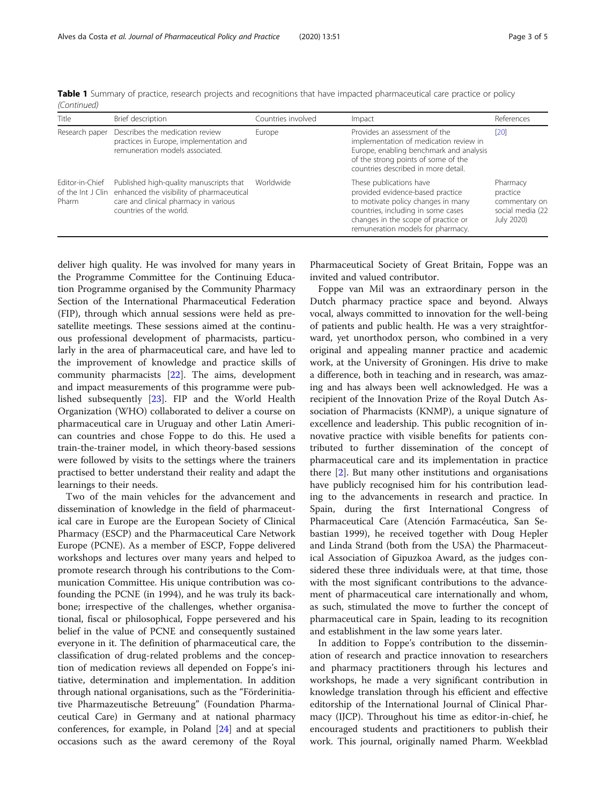| Title                                         | Brief description                                                                                                                                        | Countries involved | Impact                                                                                                                                                                                                              | References                                                              |
|-----------------------------------------------|----------------------------------------------------------------------------------------------------------------------------------------------------------|--------------------|---------------------------------------------------------------------------------------------------------------------------------------------------------------------------------------------------------------------|-------------------------------------------------------------------------|
| Research paper                                | Describes the medication review<br>practices in Europe, implementation and<br>remuneration models associated.                                            | Europe             | Provides an assessment of the<br>implementation of medication review in<br>Europe, enabling benchmark and analysis<br>of the strong points of some of the<br>countries described in more detail.                    | [20]                                                                    |
| Editor-in-Chief<br>of the Int J Clin<br>Pharm | Published high-quality manuscripts that<br>enhanced the visibility of pharmaceutical<br>care and clinical pharmacy in various<br>countries of the world. | Worldwide          | These publications have<br>provided evidence-based practice<br>to motivate policy changes in many<br>countries, including in some cases<br>changes in the scope of practice or<br>remuneration models for pharmacy. | Pharmacy<br>practice<br>commentary on<br>social media (22<br>July 2020) |

Table 1 Summary of practice, research projects and recognitions that have impacted pharmaceutical care practice or policy (Continued)

deliver high quality. He was involved for many years in the Programme Committee for the Continuing Education Programme organised by the Community Pharmacy Section of the International Pharmaceutical Federation (FIP), through which annual sessions were held as presatellite meetings. These sessions aimed at the continuous professional development of pharmacists, particularly in the area of pharmaceutical care, and have led to the improvement of knowledge and practice skills of community pharmacists [\[22](#page-4-0)]. The aims, development and impact measurements of this programme were published subsequently [[23\]](#page-4-0). FIP and the World Health Organization (WHO) collaborated to deliver a course on pharmaceutical care in Uruguay and other Latin American countries and chose Foppe to do this. He used a train-the-trainer model, in which theory-based sessions were followed by visits to the settings where the trainers practised to better understand their reality and adapt the learnings to their needs.

Two of the main vehicles for the advancement and dissemination of knowledge in the field of pharmaceutical care in Europe are the European Society of Clinical Pharmacy (ESCP) and the Pharmaceutical Care Network Europe (PCNE). As a member of ESCP, Foppe delivered workshops and lectures over many years and helped to promote research through his contributions to the Communication Committee. His unique contribution was cofounding the PCNE (in 1994), and he was truly its backbone; irrespective of the challenges, whether organisational, fiscal or philosophical, Foppe persevered and his belief in the value of PCNE and consequently sustained everyone in it. The definition of pharmaceutical care, the classification of drug-related problems and the conception of medication reviews all depended on Foppe's initiative, determination and implementation. In addition through national organisations, such as the "Förderinitiative Pharmazeutische Betreuung" (Foundation Pharmaceutical Care) in Germany and at national pharmacy conferences, for example, in Poland [\[24\]](#page-4-0) and at special occasions such as the award ceremony of the Royal

Pharmaceutical Society of Great Britain, Foppe was an invited and valued contributor.

Foppe van Mil was an extraordinary person in the Dutch pharmacy practice space and beyond. Always vocal, always committed to innovation for the well-being of patients and public health. He was a very straightforward, yet unorthodox person, who combined in a very original and appealing manner practice and academic work, at the University of Groningen. His drive to make a difference, both in teaching and in research, was amazing and has always been well acknowledged. He was a recipient of the Innovation Prize of the Royal Dutch Association of Pharmacists (KNMP), a unique signature of excellence and leadership. This public recognition of innovative practice with visible benefits for patients contributed to further dissemination of the concept of pharmaceutical care and its implementation in practice there [[2](#page-3-0)]. But many other institutions and organisations have publicly recognised him for his contribution leading to the advancements in research and practice. In Spain, during the first International Congress of Pharmaceutical Care (Atención Farmacéutica, San Sebastian 1999), he received together with Doug Hepler and Linda Strand (both from the USA) the Pharmaceutical Association of Gipuzkoa Award, as the judges considered these three individuals were, at that time, those with the most significant contributions to the advancement of pharmaceutical care internationally and whom, as such, stimulated the move to further the concept of pharmaceutical care in Spain, leading to its recognition and establishment in the law some years later.

In addition to Foppe's contribution to the dissemination of research and practice innovation to researchers and pharmacy practitioners through his lectures and workshops, he made a very significant contribution in knowledge translation through his efficient and effective editorship of the International Journal of Clinical Pharmacy (IJCP). Throughout his time as editor-in-chief, he encouraged students and practitioners to publish their work. This journal, originally named Pharm. Weekblad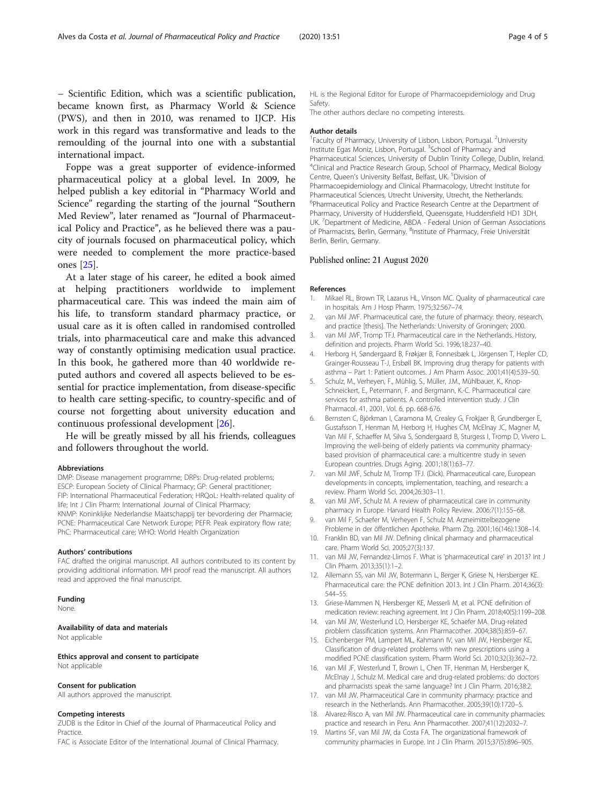<span id="page-3-0"></span>– Scientific Edition, which was a scientific publication, became known first, as Pharmacy World & Science (PWS), and then in 2010, was renamed to IJCP. His work in this regard was transformative and leads to the remoulding of the journal into one with a substantial international impact.

Foppe was a great supporter of evidence-informed pharmaceutical policy at a global level. In 2009, he helped publish a key editorial in "Pharmacy World and Science" regarding the starting of the journal "Southern Med Review", later renamed as "Journal of Pharmaceutical Policy and Practice", as he believed there was a paucity of journals focused on pharmaceutical policy, which were needed to complement the more practice-based ones [[25](#page-4-0)].

At a later stage of his career, he edited a book aimed at helping practitioners worldwide to implement pharmaceutical care. This was indeed the main aim of his life, to transform standard pharmacy practice, or usual care as it is often called in randomised controlled trials, into pharmaceutical care and make this advanced way of constantly optimising medication usual practice. In this book, he gathered more than 40 worldwide reputed authors and covered all aspects believed to be essential for practice implementation, from disease-specific to health care setting-specific, to country-specific and of course not forgetting about university education and continuous professional development [[26\]](#page-4-0).

He will be greatly missed by all his friends, colleagues and followers throughout the world.

#### Abbreviations

DMP: Disease management programme; DRPs: Drug-related problems; ESCP: European Society of Clinical Pharmacy; GP: General practitioner; FIP: International Pharmaceutical Federation; HRQoL: Health-related quality of life; Int J Clin Pharm: International Journal of Clinical Pharmacy; KNMP: Koninklijke Nederlandse Maatschappij ter bevordering der Pharmacie; PCNE: Pharmaceutical Care Network Europe; PEFR: Peak expiratory flow rate; PhC: Pharmaceutical care; WHO: World Health Organization

#### Authors' contributions

FAC drafted the original manuscript. All authors contributed to its content by providing additional information. MH proof read the manuscript. All authors read and approved the final manuscript.

#### Funding

None.

### Availability of data and materials

Not applicable

Ethics approval and consent to participate Not applicable

#### Consent for publication

All authors approved the manuscript.

#### Competing interests

ZUDB is the Editor in Chief of the Journal of Pharmaceutical Policy and Practice.

FAC is Associate Editor of the International Journal of Clinical Pharmacy.

HL is the Regional Editor for Europe of Pharmacoepidemiology and Drug Safety.

The other authors declare no competing interests.

#### Author details

<sup>1</sup> Faculty of Pharmacy, University of Lisbon, Lisbon, Portugal. <sup>2</sup> University Institute Egas Moniz, Lisbon, Portugal. <sup>3</sup>School of Pharmacy and Pharmaceutical Sciences, University of Dublin Trinity College, Dublin, Ireland. <sup>4</sup>Clinical and Practice Research Group, School of Pharmacy, Medical Biology Centre, Queen's University Belfast, Belfast, UK. <sup>5</sup>Division of Pharmacoepidemiology and Clinical Pharmacology, Utrecht Institute for Pharmaceutical Sciences, Utrecht University, Utrecht, the Netherlands. <sup>6</sup>Pharmaceutical Policy and Practice Research Centre at the Department of Pharmacy, University of Huddersfield, Queensgate, Huddersfield HD1 3DH, UK. <sup>7</sup>Department of Medicine, ABDA - Federal Union of German Associations of Pharmacists, Berlin, Germany. <sup>8</sup>Institute of Pharmacy, Freie Universität Berlin, Berlin, Germany.

## Published online: 21 August 2020

#### References

- 1. Mikael RL, Brown TR, Lazarus HL, Vinson MC. Quality of pharmaceutical care in hospitals. Am J Hosp Pharm. 1975;32:567–74.
- 2. van Mil JWF. Pharmaceutical care, the future of pharmacy: theory, research, and practice [thesis]. The Netherlands: University of Groningen; 2000.
- 3. van Mil JWF, Tromp TFJ. Pharmaceutical care in the Netherlands. History, definition and projects. Pharm World Sci. 1996;18:237–40.
- 4. Herborg H, Søndergaard B, Frøkjær B, Fonnesbæk L, Jörgensen T, Hepler CD, Grainger-Rousseau T-J, Ersbøll BK. Improving drug therapy for patients with asthma – Part 1: Patient outcomes. J Am Pharm Assoc. 2001;41(4):539–50.
- 5. Schulz, M., Verheyen, F., Mühlig, S., Müller, J.M., Mühlbauer, K., Knop-Schneickert, E., Petermann, F. and Bergmann, K.-C. Pharmaceutical care services for asthma patients. A controlled intervention study. J Clin Pharmacol. 41, 2001, Vol. 6, pp. 668-676.
- 6. Bernsten C, Björkman I, Caramona M, Crealey G, Frokjaer B, Grundberger E, Gustafsson T, Henman M, Herborg H, Hughes CM, McElnay JC, Magner M, Van Mil F, Schaeffer M, Silva S, Sondergaard B, Sturgess I, Tromp D, Vivero L. Improving the well-being of elderly patients via community pharmacybased provision of pharmaceutical care: a multicentre study in seven European countries. Drugs Aging. 2001;18(1):63–77.
- 7. van Mil JWF, Schulz M, Tromp TFJ. (Dick). Pharmaceutical care, European developments in concepts, implementation, teaching, and research: a review. Pharm World Sci. 2004;26:303–11.
- 8. van Mil JWF, Schulz M. A review of pharmaceutical care in community pharmacy in Europe. Harvard Health Policy Review. 2006;7(1):155–68.
- 9. van Mil F, Schaefer M, Verheyen F, Schulz M. Arzneimittelbezogene Probleme in der öffentlichen Apotheke. Pharm Ztg. 2001;16(146):1308–14.
- 10. Franklin BD, van Mil JW. Defining clinical pharmacy and pharmaceutical care. Pharm World Sci. 2005;27(3):137.
- 11. van Mil JW, Fernandez-Llimos F. What is 'pharmaceutical care' in 2013? Int J Clin Pharm. 2013;35(1):1–2.
- 12. Allemann SS, van Mil JW, Botermann L, Berger K, Griese N, Hersberger KE. Pharmaceutical care: the PCNE definition 2013. Int J Clin Pharm. 2014;36(3): 544–55.
- 13. Griese-Mammen N, Hersberger KE, Messerli M, et al. PCNE definition of medication review: reaching agreement. Int J Clin Pharm. 2018;40(5):1199–208.
- 14. van Mil JW, Westerlund LO, Hersberger KE, Schaefer MA. Drug-related problem classification systems. Ann Pharmacother. 2004;38(5):859–67.
- 15. Eichenberger PM, Lampert ML, Kahmann IV, van Mil JW, Hersberger KE. Classification of drug-related problems with new prescriptions using a modified PCNE classification system. Pharm World Sci. 2010;32(3):362–72.
- 16. van Mil JF, Westerlund T, Brown L, Chen TF, Henman M, Hersberger K, McElnay J, Schulz M. Medical care and drug-related problems: do doctors and pharmacists speak the same language? Int J Clin Pharm. 2016;38:2.
- 17. van Mil JW. Pharmaceutical Care in community pharmacy: practice and research in the Netherlands. Ann Pharmacother. 2005;39(10):1720–5.
- Alvarez-Risco A, van Mil JW. Pharmaceutical care in community pharmacies: practice and research in Peru. Ann Pharmacother. 2007;41(12):2032–7.
- 19. Martins SF, van Mil JW, da Costa FA. The organizational framework of community pharmacies in Europe. Int J Clin Pharm. 2015;37(5):896–905.